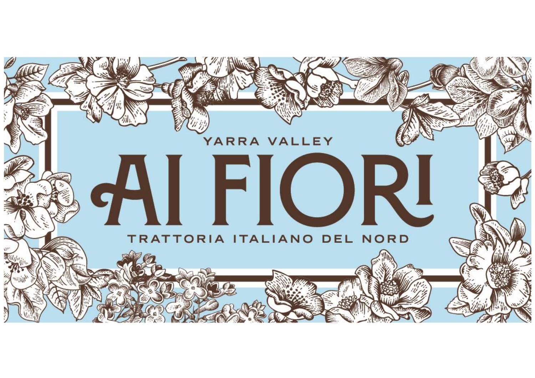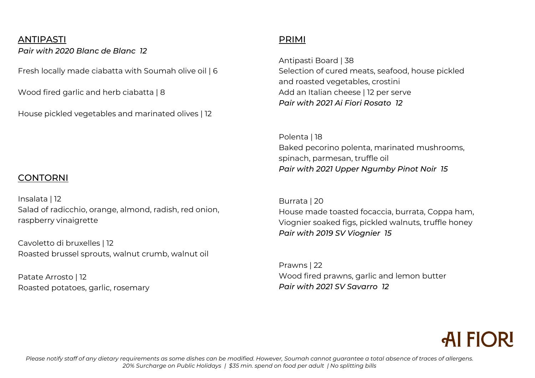### ANTIPASTI

*Pair with 2020 Blanc de Blanc 12*

Fresh locally made ciabatta with Soumah olive oil | 6

Wood fired garlic and herb ciabatta | 8

House pickled vegetables and marinated olives | 12

## PRIMI

Antipasti Board | 38 Selection of cured meats, seafood, house pickled and roasted vegetables, crostini Add an Italian cheese | 12 per serve *Pair with 2021 Ai Fiori Rosato 12*

Polenta | 18 Baked pecorino polenta, marinated mushrooms, spinach, parmesan, truffle oil *Pair with 2021 Upper Ngumby Pinot Noir 15*

Burrata | 20 House made toasted focaccia, burrata, Coppa ham, Viognier soaked figs, pickled walnuts, truffle honey *Pair with 2019 SV Viognier 15*

Prawns | 22 Wood fired prawns, garlic and lemon butter *Pair with 2021 SV Savarro 12*



#### *Please notify staff of any dietary requirements as some dishes can be modified. However, Soumah cannot guarantee a total absence of traces of allergens. 20% Surcharge on Public Holidays | \$35 min. spend on food per adult | No splitting bills*

# CONTORNI

Insalata | 12 Salad of radicchio, orange, almond, radish, red onion, raspberry vinaigrette

Cavoletto di bruxelles | 12 Roasted brussel sprouts, walnut crumb, walnut oil

Patate Arrosto | 12 Roasted potatoes, garlic, rosemary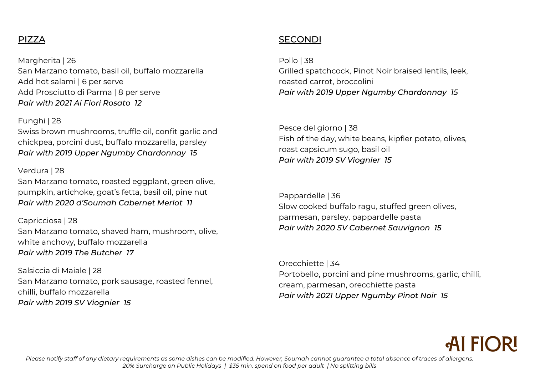# PIZZA

Margherita | 26 San Marzano tomato, basil oil, buffalo mozzarella Add hot salami | 6 per serve Add Prosciutto di Parma | 8 per serve *Pair with 2021 Ai Fiori Rosato 12*

#### Funghi | 28

Swiss brown mushrooms, truffle oil, confit garlic and chickpea, porcini dust, buffalo mozzarella, parsley *Pair with 2019 Upper Ngumby Chardonnay 15*

#### Verdura | 28

San Marzano tomato, roasted eggplant, green olive, pumpkin, artichoke, goat's fetta, basil oil, pine nut *Pair with 2020 d'Soumah Cabernet Merlot 11*

### Capricciosa | 28

San Marzano tomato, shaved ham, mushroom, olive, white anchovy, buffalo mozzarella *Pair with 2019 The Butcher 17*

Salsiccia di Maiale | 28 San Marzano tomato, pork sausage, roasted fennel, chilli, buffalo mozzarella *Pair with 2019 SV Viognier 15*

# SECONDI

Pollo | 38 Grilled spatchcock, Pinot Noir braised lentils, leek, roasted carrot, broccolini *Pair with 2019 Upper Ngumby Chardonnay 15*

Pesce del giorno | 38 Fish of the day, white beans, kipfler potato, olives, roast capsicum sugo, basil oil *Pair with 2019 SV Viognier 15*

Pappardelle | 36 Slow cooked buffalo ragu, stuffed green olives, parmesan, parsley, pappardelle pasta *Pair with 2020 SV Cabernet Sauvignon 15* 

Orecchiette | 34 Portobello, porcini and pine mushrooms, garlic, chilli, cream, parmesan, orecchiette pasta *Pair with 2021 Upper Ngumby Pinot Noir 15*